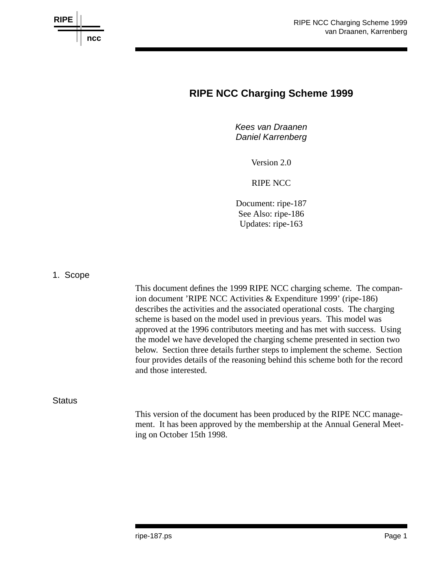

# **RIPE NCC Charging Scheme 1999**

*Kees van Draanen Daniel Karrenberg*

Version 2.0

RIPE NCC

Document: ripe-187 See Also: ripe-186 Updates: ripe-163

1. Scope

This document defines the 1999 RIPE NCC charging scheme. The companion document 'RIPE NCC Activities & Expenditure 1999' (ripe-186) describes the activities and the associated operational costs. The charging scheme is based on the model used in previous years. This model was approved at the 1996 contributors meeting and has met with success. Using the model we have developed the charging scheme presented in section two below. Section three details further steps to implement the scheme. Section four provides details of the reasoning behind this scheme both for the record and those interested.

**Status** 

This version of the document has been produced by the RIPE NCC management. It has been approved by the membership at the Annual General Meeting on October 15th 1998.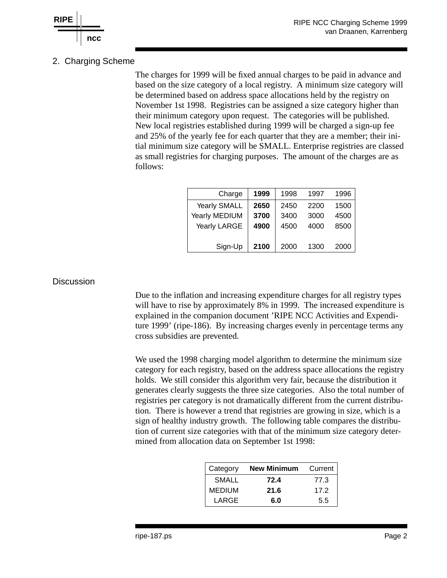

# 2. Charging Scheme

The charges for 1999 will be fixed annual charges to be paid in advance and based on the size category of a local registry. A minimum size category will be determined based on address space allocations held by the registry on November 1st 1998. Registries can be assigned a size category higher than their minimum category upon request. The categories will be published. New local registries established during 1999 will be charged a sign-up fee and 25% of the yearly fee for each quarter that they are a member; their initial minimum size category will be SMALL. Enterprise registries are classed as small registries for charging purposes. The amount of the charges are as follows:

| Charge              | 1999 | 1998 | 1997 | 1996 |
|---------------------|------|------|------|------|
| <b>Yearly SMALL</b> | 2650 | 2450 | 2200 | 1500 |
| Yearly MEDIUM       | 3700 | 3400 | 3000 | 4500 |
| Yearly LARGE        | 4900 | 4500 | 4000 | 8500 |
|                     |      |      |      |      |
| Sign-Up             | 2100 | 2000 | 1300 | 2000 |

## **Discussion**

Due to the inflation and increasing expenditure charges for all registry types will have to rise by approximately 8% in 1999. The increased expenditure is explained in the companion document 'RIPE NCC Activities and Expenditure 1999' (ripe-186). By increasing charges evenly in percentage terms any cross subsidies are prevented.

We used the 1998 charging model algorithm to determine the minimum size category for each registry, based on the address space allocations the registry holds. We still consider this algorithm very fair, because the distribution it generates clearly suggests the three size categories. Also the total number of registries per category is not dramatically different from the current distribution. There is however a trend that registries are growing in size, which is a sign of healthy industry growth. The following table compares the distribution of current size categories with that of the minimum size category determined from allocation data on September 1st 1998:

| Category      | <b>New Minimum</b> | Current |
|---------------|--------------------|---------|
| <b>SMALL</b>  | 72.4               | 77.3    |
| <b>MEDIUM</b> | 21.6               | 172     |
| LARGE         | 6.0                | 5.5     |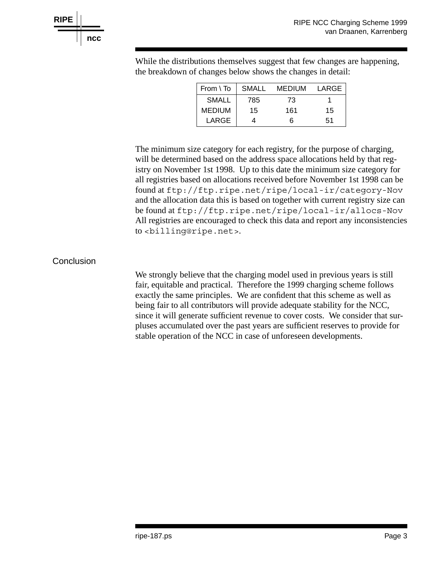

While the distributions themselves suggest that few changes are happening, the breakdown of changes below shows the changes in detail:

| From $\setminus$ To | SMALL | <b>MEDIUM</b> | LARGE |
|---------------------|-------|---------------|-------|
| <b>SMALL</b>        | 785   | 73            |       |
| <b>MEDIUM</b>       | 15    | 161           | 15    |
| LARGE               |       | ิค            | 51    |

The minimum size category for each registry, for the purpose of charging, will be determined based on the address space allocations held by that registry on November 1st 1998. Up to this date the minimum size category for all registries based on allocations received before November 1st 1998 can be found at ftp://ftp.ripe.net/ripe/local-ir/category-Nov and the allocation data this is based on together with current registry size can be found at ftp://ftp.ripe.net/ripe/local-ir/allocs-Nov All registries are encouraged to check this data and report any inconsistencies to <billing@ripe.net>.

## **Conclusion**

We strongly believe that the charging model used in previous years is still fair, equitable and practical. Therefore the 1999 charging scheme follows exactly the same principles. We are confident that this scheme as well as being fair to all contributors will provide adequate stability for the NCC, since it will generate sufficient revenue to cover costs. We consider that surpluses accumulated over the past years are sufficient reserves to provide for stable operation of the NCC in case of unforeseen developments.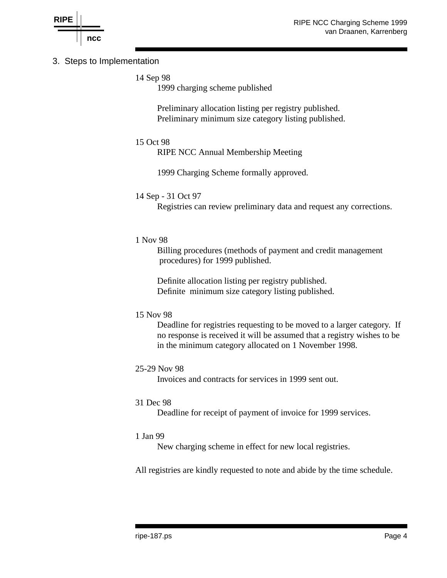

# 3. Steps to Implementation

14 Sep 98

1999 charging scheme published

Preliminary allocation listing per registry published. Preliminary minimum size category listing published.

# 15 Oct 98

RIPE NCC Annual Membership Meeting

1999 Charging Scheme formally approved.

#### 14 Sep - 31 Oct 97

Registries can review preliminary data and request any corrections.

#### 1 Nov 98

Billing procedures (methods of payment and credit management procedures) for 1999 published.

Definite allocation listing per registry published. Definite minimum size category listing published.

#### 15 Nov 98

Deadline for registries requesting to be moved to a larger category. If no response is received it will be assumed that a registry wishes to be in the minimum category allocated on 1 November 1998.

#### 25-29 Nov 98

Invoices and contracts for services in 1999 sent out.

#### 31 Dec 98

Deadline for receipt of payment of invoice for 1999 services.

#### 1 Jan 99

New charging scheme in effect for new local registries.

All registries are kindly requested to note and abide by the time schedule.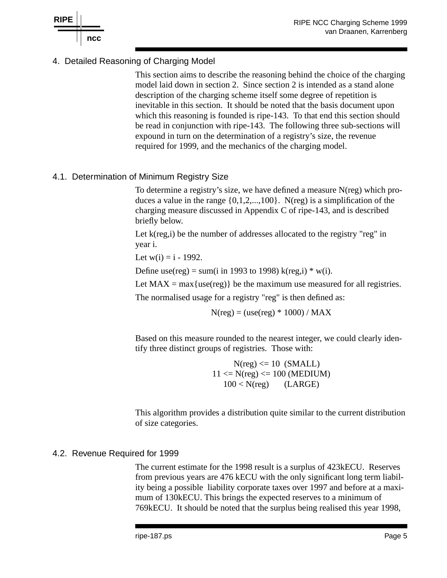

# 4. Detailed Reasoning of Charging Model

This section aims to describe the reasoning behind the choice of the charging model laid down in section 2. Since section 2 is intended as a stand alone description of the charging scheme itself some degree of repetition is inevitable in this section. It should be noted that the basis document upon which this reasoning is founded is ripe-143. To that end this section should be read in conjunction with ripe-143. The following three sub-sections will expound in turn on the determination of a registry's size, the revenue required for 1999, and the mechanics of the charging model.

# 4.1. Determination of Minimum Registry Size

To determine a registry's size, we have defined a measure N(reg) which produces a value in the range  $\{0,1,2,...,100\}$ . N(reg) is a simplification of the charging measure discussed in Appendix C of ripe-143, and is described briefly below.

Let k(reg,i) be the number of addresses allocated to the registry "reg" in year i.

Let  $w(i) = i - 1992$ .

Define use(reg) = sum(i in 1993 to 1998) k(reg,i)  $*$  w(i).

Let  $MAX = max{use(reg)}$  be the maximum use measured for all registries.

The normalised usage for a registry "reg" is then defined as:

 $N(reg) = (use(reg) * 1000) / MAX$ 

Based on this measure rounded to the nearest integer, we could clearly identify three distinct groups of registries. Those with:

> $N(\text{reg}) \leq 10$  (SMALL)  $11 \le N(\text{reg}) \le 100 \text{ (MEDIUM)}$  $100 < N(\text{reg})$  (LARGE)

This algorithm provides a distribution quite similar to the current distribution of size categories.

#### 4.2. Revenue Required for 1999

The current estimate for the 1998 result is a surplus of 423kECU. Reserves from previous years are 476 kECU with the only significant long term liability being a possible liability corporate taxes over 1997 and before at a maximum of 130kECU. This brings the expected reserves to a minimum of 769kECU. It should be noted that the surplus being realised this year 1998,